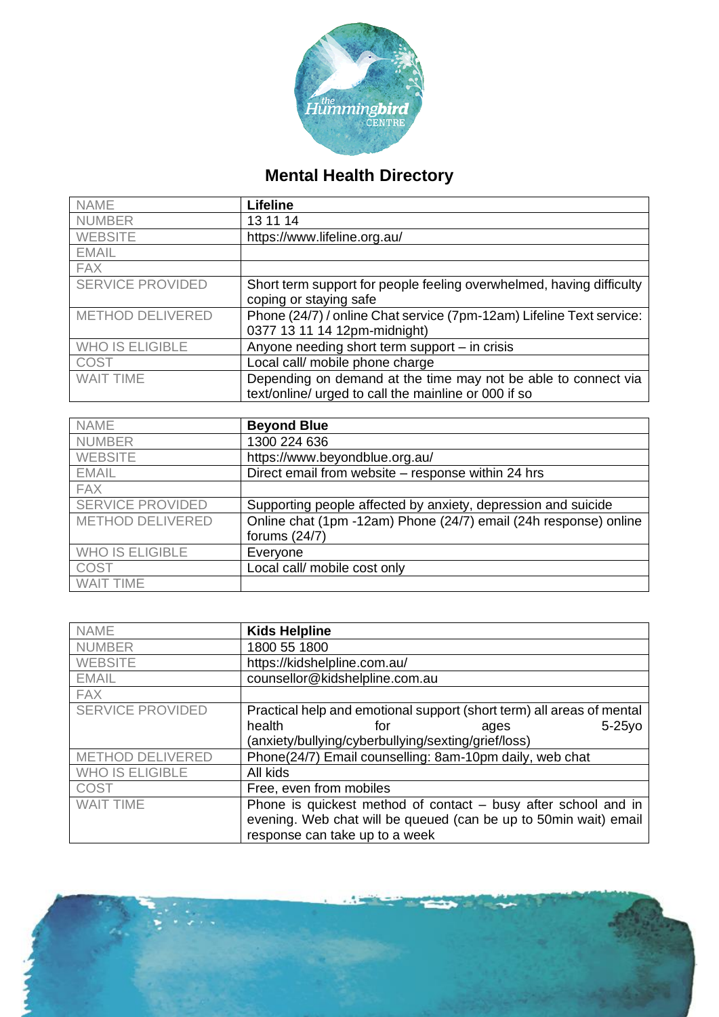

## **Mental Health Directory**

| <b>NAME</b>             | <b>Lifeline</b>                                                      |
|-------------------------|----------------------------------------------------------------------|
| <b>NUMBER</b>           | 13 11 14                                                             |
| <b>WEBSITE</b>          | https://www.lifeline.org.au/                                         |
| <b>EMAIL</b>            |                                                                      |
| <b>FAX</b>              |                                                                      |
| <b>SERVICE PROVIDED</b> | Short term support for people feeling overwhelmed, having difficulty |
|                         | coping or staying safe                                               |
| METHOD DELIVERED        | Phone (24/7) / online Chat service (7pm-12am) Lifeline Text service: |
|                         | 0377 13 11 14 12pm-midnight)                                         |
| <b>WHO IS ELIGIBLE</b>  | Anyone needing short term support – in crisis                        |
| COST                    | Local call/ mobile phone charge                                      |
| <b>WAIT TIME</b>        | Depending on demand at the time may not be able to connect via       |
|                         | text/online/ urged to call the mainline or 000 if so                 |

| <b>NAME</b>             | <b>Beyond Blue</b>                                               |
|-------------------------|------------------------------------------------------------------|
| <b>NUMBER</b>           | 1300 224 636                                                     |
| <b>WEBSITE</b>          | https://www.beyondblue.org.au/                                   |
| <b>EMAIL</b>            | Direct email from website - response within 24 hrs               |
| <b>FAX</b>              |                                                                  |
| <b>SERVICE PROVIDED</b> | Supporting people affected by anxiety, depression and suicide    |
| METHOD DELIVERED        | Online chat (1pm -12am) Phone (24/7) email (24h response) online |
|                         | forums $(24/7)$                                                  |
| <b>WHO IS ELIGIBLE</b>  | Everyone                                                         |
| <b>COST</b>             | Local call/ mobile cost only                                     |
| <b>WAIT TIME</b>        |                                                                  |

| <b>NAME</b>             | <b>Kids Helpline</b>                                                  |
|-------------------------|-----------------------------------------------------------------------|
| <b>NUMBER</b>           | 1800 55 1800                                                          |
| <b>WEBSITE</b>          | https://kidshelpline.com.au/                                          |
| <b>EMAIL</b>            | counsellor@kidshelpline.com.au                                        |
| <b>FAX</b>              |                                                                       |
| <b>SERVICE PROVIDED</b> | Practical help and emotional support (short term) all areas of mental |
|                         | health<br>$5-25y$ o<br>for<br>ages                                    |
|                         | (anxiety/bullying/cyberbullying/sexting/grief/loss)                   |
| <b>METHOD DELIVERED</b> | Phone(24/7) Email counselling: 8am-10pm daily, web chat               |
| <b>WHO IS ELIGIBLE</b>  | All kids                                                              |
| <b>COST</b>             | Free, even from mobiles                                               |
| <b>WAIT TIME</b>        | Phone is quickest method of contact – busy after school and in        |
|                         | evening. Web chat will be queued (can be up to 50min wait) email      |
|                         | response can take up to a week                                        |

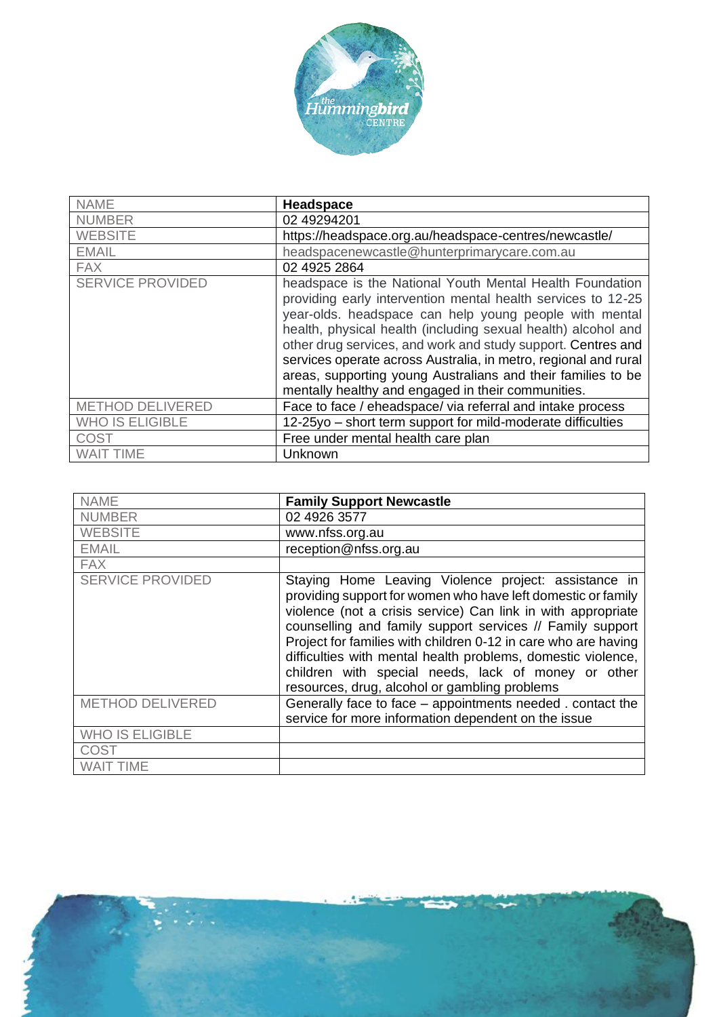

| <b>NAME</b>             | <b>Headspace</b>                                                                                                                                                                                                                                                                                                                                                                                                                                                                                             |
|-------------------------|--------------------------------------------------------------------------------------------------------------------------------------------------------------------------------------------------------------------------------------------------------------------------------------------------------------------------------------------------------------------------------------------------------------------------------------------------------------------------------------------------------------|
| <b>NUMBER</b>           | 02 49294201                                                                                                                                                                                                                                                                                                                                                                                                                                                                                                  |
| <b>WEBSITE</b>          | https://headspace.org.au/headspace-centres/newcastle/                                                                                                                                                                                                                                                                                                                                                                                                                                                        |
| <b>EMAIL</b>            | headspacenewcastle@hunterprimarycare.com.au                                                                                                                                                                                                                                                                                                                                                                                                                                                                  |
| <b>FAX</b>              | 02 4925 2864                                                                                                                                                                                                                                                                                                                                                                                                                                                                                                 |
| <b>SERVICE PROVIDED</b> | headspace is the National Youth Mental Health Foundation<br>providing early intervention mental health services to 12-25<br>year-olds. headspace can help young people with mental<br>health, physical health (including sexual health) alcohol and<br>other drug services, and work and study support. Centres and<br>services operate across Australia, in metro, regional and rural<br>areas, supporting young Australians and their families to be<br>mentally healthy and engaged in their communities. |
| <b>METHOD DELIVERED</b> | Face to face / eheadspace/ via referral and intake process                                                                                                                                                                                                                                                                                                                                                                                                                                                   |
| <b>WHO IS ELIGIBLE</b>  | 12-25yo – short term support for mild-moderate difficulties                                                                                                                                                                                                                                                                                                                                                                                                                                                  |
| COST                    | Free under mental health care plan                                                                                                                                                                                                                                                                                                                                                                                                                                                                           |
| <b>WAIT TIME</b>        | Unknown                                                                                                                                                                                                                                                                                                                                                                                                                                                                                                      |

| <b>NAME</b>             | <b>Family Support Newcastle</b>                                                                                                                                                                                                                                                                                                                                                                                                                                                             |
|-------------------------|---------------------------------------------------------------------------------------------------------------------------------------------------------------------------------------------------------------------------------------------------------------------------------------------------------------------------------------------------------------------------------------------------------------------------------------------------------------------------------------------|
| <b>NUMBER</b>           | 02 4926 3577                                                                                                                                                                                                                                                                                                                                                                                                                                                                                |
| <b>WEBSITE</b>          | www.nfss.org.au                                                                                                                                                                                                                                                                                                                                                                                                                                                                             |
| <b>EMAIL</b>            | reception@nfss.org.au                                                                                                                                                                                                                                                                                                                                                                                                                                                                       |
| <b>FAX</b>              |                                                                                                                                                                                                                                                                                                                                                                                                                                                                                             |
| <b>SERVICE PROVIDED</b> | Staying Home Leaving Violence project: assistance in<br>providing support for women who have left domestic or family<br>violence (not a crisis service) Can link in with appropriate<br>counselling and family support services // Family support<br>Project for families with children 0-12 in care who are having<br>difficulties with mental health problems, domestic violence,<br>children with special needs, lack of money or other<br>resources, drug, alcohol or gambling problems |
| METHOD DELIVERED        | Generally face to face - appointments needed. contact the<br>service for more information dependent on the issue                                                                                                                                                                                                                                                                                                                                                                            |
| <b>WHO IS ELIGIBLE</b>  |                                                                                                                                                                                                                                                                                                                                                                                                                                                                                             |
| COST                    |                                                                                                                                                                                                                                                                                                                                                                                                                                                                                             |
| <b>WAIT TIME</b>        |                                                                                                                                                                                                                                                                                                                                                                                                                                                                                             |

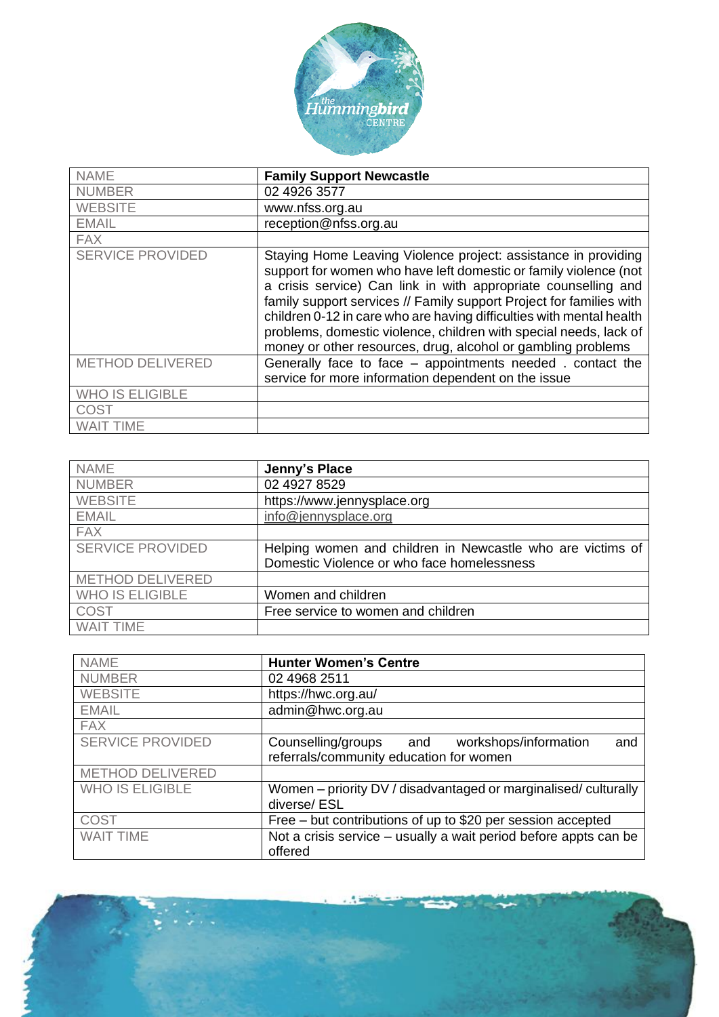

| <b>NAME</b>             | <b>Family Support Newcastle</b>                                                                                                                                                                                                                                                                                                                                                                                                                                                          |
|-------------------------|------------------------------------------------------------------------------------------------------------------------------------------------------------------------------------------------------------------------------------------------------------------------------------------------------------------------------------------------------------------------------------------------------------------------------------------------------------------------------------------|
| <b>NUMBER</b>           | 02 4926 3577                                                                                                                                                                                                                                                                                                                                                                                                                                                                             |
| <b>WEBSITE</b>          | www.nfss.org.au                                                                                                                                                                                                                                                                                                                                                                                                                                                                          |
| <b>EMAIL</b>            | reception@nfss.org.au                                                                                                                                                                                                                                                                                                                                                                                                                                                                    |
| <b>FAX</b>              |                                                                                                                                                                                                                                                                                                                                                                                                                                                                                          |
| <b>SERVICE PROVIDED</b> | Staying Home Leaving Violence project: assistance in providing<br>support for women who have left domestic or family violence (not<br>a crisis service) Can link in with appropriate counselling and<br>family support services // Family support Project for families with<br>children 0-12 in care who are having difficulties with mental health<br>problems, domestic violence, children with special needs, lack of<br>money or other resources, drug, alcohol or gambling problems |
| <b>METHOD DELIVERED</b> | Generally face to face - appointments needed. contact the<br>service for more information dependent on the issue                                                                                                                                                                                                                                                                                                                                                                         |
| <b>WHO IS ELIGIBLE</b>  |                                                                                                                                                                                                                                                                                                                                                                                                                                                                                          |
| COST                    |                                                                                                                                                                                                                                                                                                                                                                                                                                                                                          |
| <b>WAIT TIME</b>        |                                                                                                                                                                                                                                                                                                                                                                                                                                                                                          |

| <b>NAME</b>             | Jenny's Place                                              |
|-------------------------|------------------------------------------------------------|
| <b>NUMBER</b>           | 02 4927 8529                                               |
| <b>WEBSITE</b>          | https://www.jennysplace.org                                |
| <b>EMAIL</b>            | info@jennysplace.org                                       |
| <b>FAX</b>              |                                                            |
| <b>SERVICE PROVIDED</b> | Helping women and children in Newcastle who are victims of |
|                         | Domestic Violence or who face homelessness                 |
| <b>METHOD DELIVERED</b> |                                                            |
| <b>WHO IS ELIGIBLE</b>  | Women and children                                         |
| <b>COST</b>             | Free service to women and children                         |
| <b>WAIT TIME</b>        |                                                            |

| <b>NAME</b>             | <b>Hunter Women's Centre</b>                                                                      |
|-------------------------|---------------------------------------------------------------------------------------------------|
| <b>NUMBER</b>           | 02 4968 2511                                                                                      |
| <b>WEBSITE</b>          | https://hwc.org.au/                                                                               |
| <b>EMAIL</b>            | admin@hwc.org.au                                                                                  |
| <b>FAX</b>              |                                                                                                   |
| <b>SERVICE PROVIDED</b> | Counselling/groups and<br>workshops/information<br>and<br>referrals/community education for women |
| <b>METHOD DELIVERED</b> |                                                                                                   |
| <b>WHO IS ELIGIBLE</b>  | Women - priority DV / disadvantaged or marginalised/ culturally<br>diverse/ESL                    |
| <b>COST</b>             | Free – but contributions of up to \$20 per session accepted                                       |
| <b>WAIT TIME</b>        | Not a crisis service – usually a wait period before appts can be<br>offered                       |

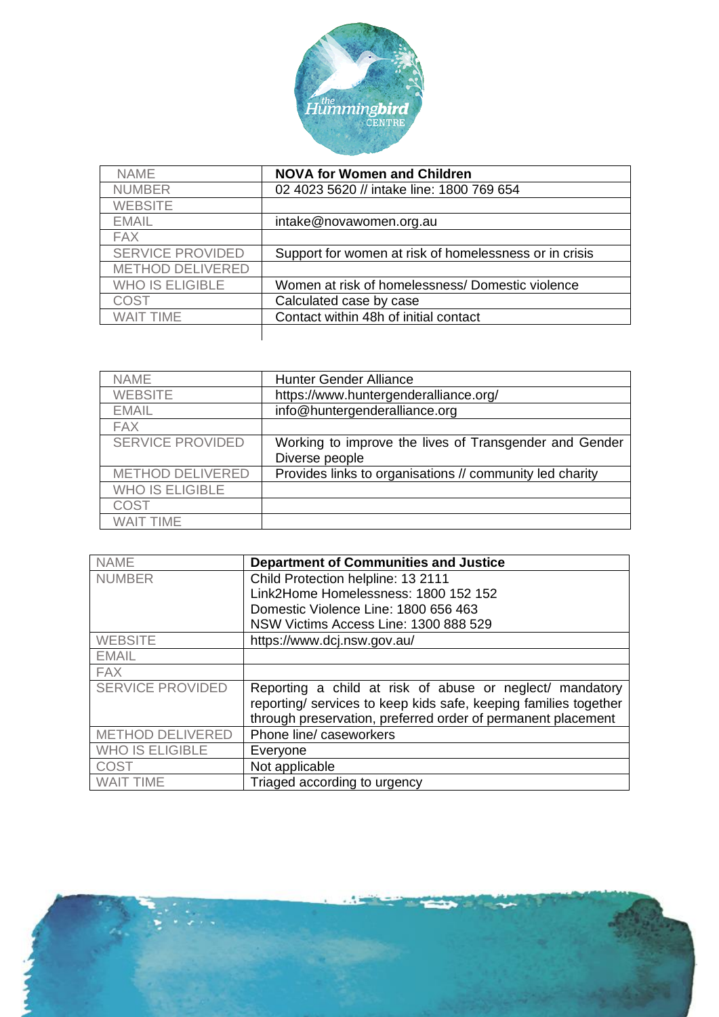

| <b>NAME</b>             | <b>NOVA for Women and Children</b>                     |
|-------------------------|--------------------------------------------------------|
| <b>NUMBER</b>           | 02 4023 5620 // intake line: 1800 769 654              |
| <b>WEBSITE</b>          |                                                        |
| <b>EMAIL</b>            | intake@novawomen.org.au                                |
| <b>FAX</b>              |                                                        |
| <b>SERVICE PROVIDED</b> | Support for women at risk of homelessness or in crisis |
| <b>METHOD DELIVERED</b> |                                                        |
| <b>WHO IS ELIGIBLE</b>  | Women at risk of homelessness/ Domestic violence       |
| COST                    | Calculated case by case                                |
| <b>WAIT TIME</b>        | Contact within 48h of initial contact                  |
|                         |                                                        |

| <b>NAME</b>             | <b>Hunter Gender Alliance</b>                                            |
|-------------------------|--------------------------------------------------------------------------|
| <b>WEBSITE</b>          | https://www.huntergenderalliance.org/                                    |
| <b>EMAIL</b>            | info@huntergenderalliance.org                                            |
| <b>FAX</b>              |                                                                          |
| <b>SERVICE PROVIDED</b> | Working to improve the lives of Transgender and Gender<br>Diverse people |
| <b>METHOD DELIVERED</b> | Provides links to organisations // community led charity                 |
| <b>WHO IS ELIGIBLE</b>  |                                                                          |
| COST                    |                                                                          |
| WAIT TIMF               |                                                                          |

| <b>NAME</b>             | <b>Department of Communities and Justice</b>                     |
|-------------------------|------------------------------------------------------------------|
| <b>NUMBER</b>           | Child Protection helpline: 13 2111                               |
|                         | Link2Home Homelessness: 1800 152 152                             |
|                         | Domestic Violence Line: 1800 656 463                             |
|                         | NSW Victims Access Line: 1300 888 529                            |
| <b>WEBSITE</b>          | https://www.dcj.nsw.gov.au/                                      |
| <b>EMAIL</b>            |                                                                  |
| <b>FAX</b>              |                                                                  |
| <b>SERVICE PROVIDED</b> | Reporting a child at risk of abuse or neglect/ mandatory         |
|                         | reporting/ services to keep kids safe, keeping families together |
|                         | through preservation, preferred order of permanent placement     |
| <b>METHOD DELIVERED</b> | Phone line/ caseworkers                                          |
| <b>WHO IS ELIGIBLE</b>  | Everyone                                                         |
| <b>COST</b>             | Not applicable                                                   |
| <b>WAIT TIME</b>        | Triaged according to urgency                                     |

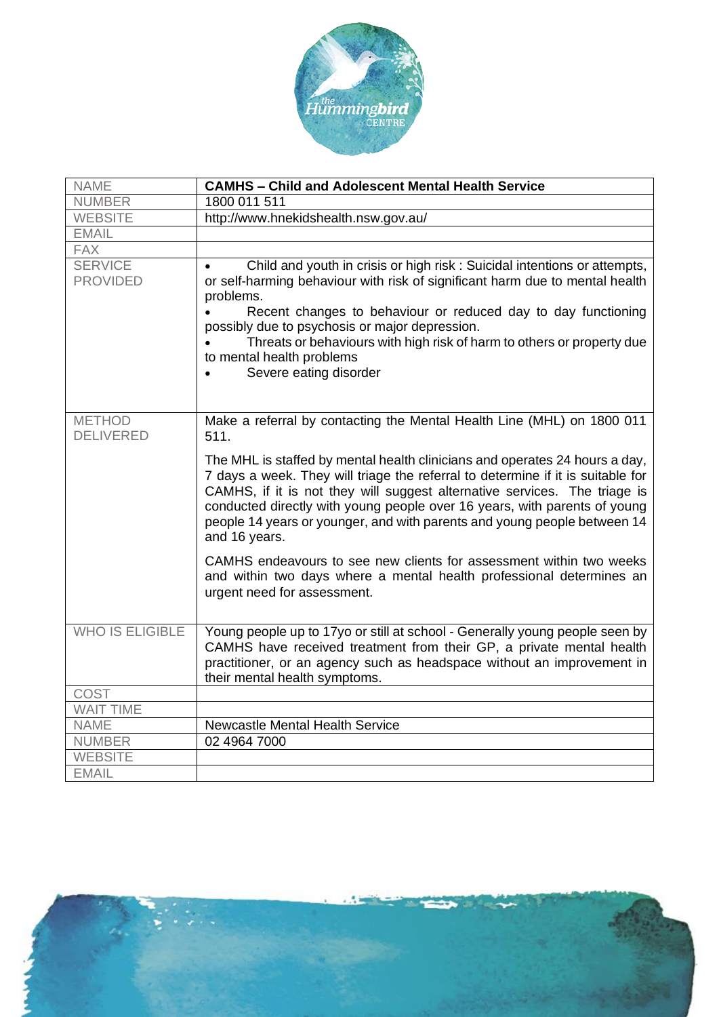

| <b>NAME</b>                       | <b>CAMHS - Child and Adolescent Mental Health Service</b>                                                                                                                                                                                                                                                                                                                                                             |
|-----------------------------------|-----------------------------------------------------------------------------------------------------------------------------------------------------------------------------------------------------------------------------------------------------------------------------------------------------------------------------------------------------------------------------------------------------------------------|
| <b>NUMBER</b>                     | 1800 011 511                                                                                                                                                                                                                                                                                                                                                                                                          |
| <b>WEBSITE</b>                    | http://www.hnekidshealth.nsw.gov.au/                                                                                                                                                                                                                                                                                                                                                                                  |
| <b>EMAIL</b>                      |                                                                                                                                                                                                                                                                                                                                                                                                                       |
| <b>FAX</b>                        |                                                                                                                                                                                                                                                                                                                                                                                                                       |
| <b>SERVICE</b><br><b>PROVIDED</b> | Child and youth in crisis or high risk: Suicidal intentions or attempts,<br>or self-harming behaviour with risk of significant harm due to mental health<br>problems.<br>Recent changes to behaviour or reduced day to day functioning                                                                                                                                                                                |
|                                   | possibly due to psychosis or major depression.                                                                                                                                                                                                                                                                                                                                                                        |
|                                   | Threats or behaviours with high risk of harm to others or property due<br>to mental health problems                                                                                                                                                                                                                                                                                                                   |
|                                   | Severe eating disorder                                                                                                                                                                                                                                                                                                                                                                                                |
|                                   |                                                                                                                                                                                                                                                                                                                                                                                                                       |
| <b>METHOD</b><br><b>DELIVERED</b> | Make a referral by contacting the Mental Health Line (MHL) on 1800 011<br>511.                                                                                                                                                                                                                                                                                                                                        |
|                                   | The MHL is staffed by mental health clinicians and operates 24 hours a day,<br>7 days a week. They will triage the referral to determine if it is suitable for<br>CAMHS, if it is not they will suggest alternative services. The triage is<br>conducted directly with young people over 16 years, with parents of young<br>people 14 years or younger, and with parents and young people between 14<br>and 16 years. |
|                                   | CAMHS endeavours to see new clients for assessment within two weeks<br>and within two days where a mental health professional determines an<br>urgent need for assessment.                                                                                                                                                                                                                                            |
| <b>WHO IS ELIGIBLE</b>            | Young people up to 17yo or still at school - Generally young people seen by<br>CAMHS have received treatment from their GP, a private mental health<br>practitioner, or an agency such as headspace without an improvement in<br>their mental health symptoms.                                                                                                                                                        |
| <b>COST</b>                       |                                                                                                                                                                                                                                                                                                                                                                                                                       |
| <b>WAIT TIME</b>                  |                                                                                                                                                                                                                                                                                                                                                                                                                       |
| <b>NAME</b>                       | Newcastle Mental Health Service                                                                                                                                                                                                                                                                                                                                                                                       |
| <b>NUMBER</b>                     | 02 4964 7000                                                                                                                                                                                                                                                                                                                                                                                                          |
| <b>WEBSITE</b>                    |                                                                                                                                                                                                                                                                                                                                                                                                                       |
| <b>EMAIL</b>                      |                                                                                                                                                                                                                                                                                                                                                                                                                       |

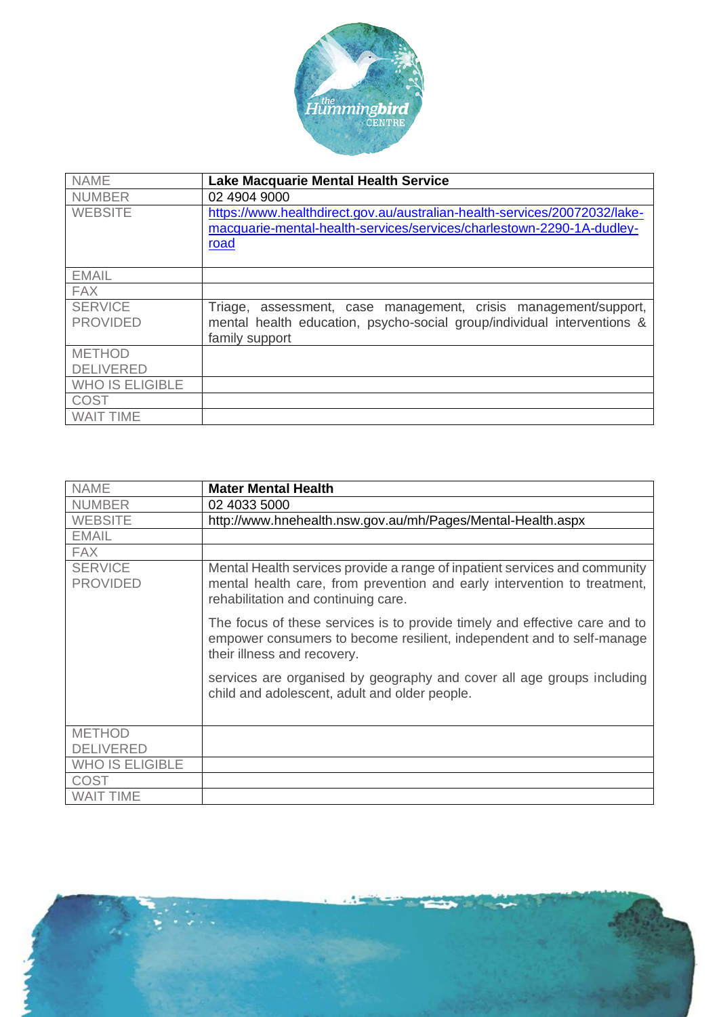

| <b>NAME</b>                       | <b>Lake Macquarie Mental Health Service</b>                                                                                                                  |
|-----------------------------------|--------------------------------------------------------------------------------------------------------------------------------------------------------------|
| <b>NUMBER</b>                     | 02 4904 9000                                                                                                                                                 |
| <b>WEBSITE</b>                    | https://www.healthdirect.gov.au/australian-health-services/20072032/lake-<br>macquarie-mental-health-services/services/charlestown-2290-1A-dudley-<br>road   |
| <b>EMAIL</b>                      |                                                                                                                                                              |
| <b>FAX</b>                        |                                                                                                                                                              |
| <b>SERVICE</b><br><b>PROVIDED</b> | Triage, assessment, case management, crisis management/support,<br>mental health education, psycho-social group/individual interventions &<br>family support |
| <b>METHOD</b>                     |                                                                                                                                                              |
| <b>DELIVERED</b>                  |                                                                                                                                                              |
| <b>WHO IS ELIGIBLE</b>            |                                                                                                                                                              |
| <b>COST</b>                       |                                                                                                                                                              |
| <b>WAIT TIME</b>                  |                                                                                                                                                              |

| <b>NAME</b>                       | <b>Mater Mental Health</b>                                                                                                                                                                    |
|-----------------------------------|-----------------------------------------------------------------------------------------------------------------------------------------------------------------------------------------------|
| <b>NUMBER</b>                     | 02 4033 5000                                                                                                                                                                                  |
| <b>WEBSITE</b>                    | http://www.hnehealth.nsw.gov.au/mh/Pages/Mental-Health.aspx                                                                                                                                   |
| <b>EMAIL</b>                      |                                                                                                                                                                                               |
| <b>FAX</b>                        |                                                                                                                                                                                               |
| <b>SERVICE</b><br><b>PROVIDED</b> | Mental Health services provide a range of inpatient services and community<br>mental health care, from prevention and early intervention to treatment,<br>rehabilitation and continuing care. |
|                                   | The focus of these services is to provide timely and effective care and to<br>empower consumers to become resilient, independent and to self-manage<br>their illness and recovery.            |
|                                   | services are organised by geography and cover all age groups including<br>child and adolescent, adult and older people.                                                                       |
| <b>METHOD</b>                     |                                                                                                                                                                                               |
| <b>DELIVERED</b>                  |                                                                                                                                                                                               |
| <b>WHO IS ELIGIBLE</b>            |                                                                                                                                                                                               |
| <b>COST</b>                       |                                                                                                                                                                                               |
| <b>WAIT TIME</b>                  |                                                                                                                                                                                               |

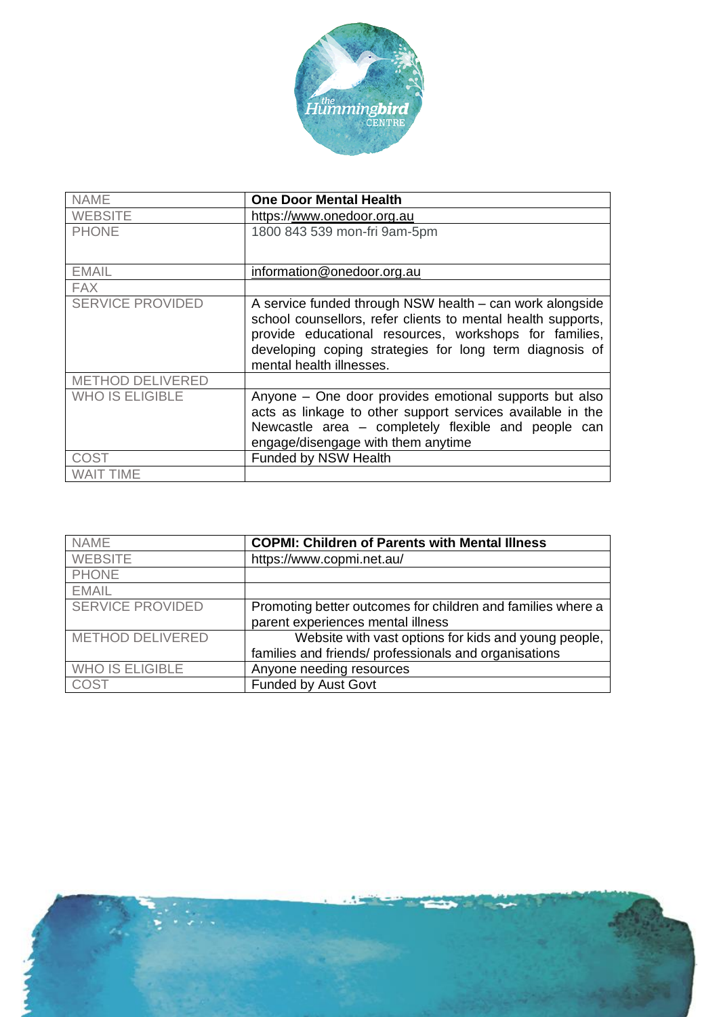

| <b>NAME</b>             | <b>One Door Mental Health</b>                                                                                                                                                                                                                                             |
|-------------------------|---------------------------------------------------------------------------------------------------------------------------------------------------------------------------------------------------------------------------------------------------------------------------|
| <b>WEBSITE</b>          | https://www.onedoor.org.au                                                                                                                                                                                                                                                |
| <b>PHONE</b>            | 1800 843 539 mon-fri 9am-5pm                                                                                                                                                                                                                                              |
| <b>EMAIL</b>            | information@onedoor.org.au                                                                                                                                                                                                                                                |
| <b>FAX</b>              |                                                                                                                                                                                                                                                                           |
| <b>SERVICE PROVIDED</b> | A service funded through NSW health – can work alongside<br>school counsellors, refer clients to mental health supports,<br>provide educational resources, workshops for families,<br>developing coping strategies for long term diagnosis of<br>mental health illnesses. |
| METHOD DELIVERED        |                                                                                                                                                                                                                                                                           |
| <b>WHO IS ELIGIBLE</b>  | Anyone - One door provides emotional supports but also<br>acts as linkage to other support services available in the<br>Newcastle area - completely flexible and people can<br>engage/disengage with them anytime                                                         |
| COST                    | Funded by NSW Health                                                                                                                                                                                                                                                      |
| WAIT TIME               |                                                                                                                                                                                                                                                                           |

| <b>NAME</b>             | <b>COPMI: Children of Parents with Mental Illness</b>       |
|-------------------------|-------------------------------------------------------------|
| <b>WEBSITE</b>          | https://www.copmi.net.au/                                   |
| <b>PHONE</b>            |                                                             |
| <b>EMAIL</b>            |                                                             |
| <b>SERVICE PROVIDED</b> | Promoting better outcomes for children and families where a |
|                         | parent experiences mental illness                           |
| <b>METHOD DELIVERED</b> | Website with vast options for kids and young people,        |
|                         | families and friends/ professionals and organisations       |
| <b>WHO IS ELIGIBLE</b>  | Anyone needing resources                                    |
| <b>COST</b>             | <b>Funded by Aust Govt</b>                                  |